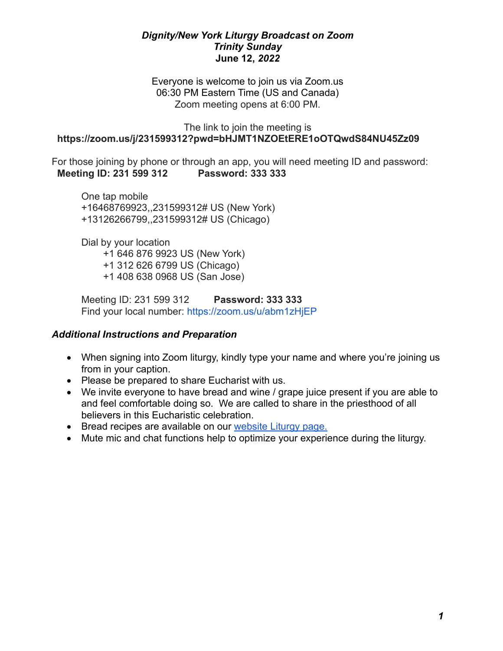### *Dignity/New York Liturgy Broadcast on Zoom Trinity Sunday* **June 12,** *2022*

Everyone is welcome to join us via Zoom.us 06:30 PM Eastern Time (US and Canada) Zoom meeting opens at 6:00 PM.

#### The link to join the meeting is  **<https://zoom.us/j/231599312?pwd=bHJMT1NZOEtERE1oOTQwdS84NU45Zz09>**

For those joining by phone or through an app, you will need meeting ID and password:  **Meeting ID: 231 599 312 Password: 333 333**

One tap mobile +16468769923,,231599312# US (New York) +13126266799,,231599312# US (Chicago)

Dial by your location +1 646 876 9923 US (New York) +1 312 626 6799 US (Chicago) +1 408 638 0968 US (San Jose)

Meeting ID: 231 599 312 **Password: 333 333** Find your local number: <https://zoom.us/u/abm1zHjEP>

# *Additional Instructions and Preparation*

- When signing into Zoom liturgy, kindly type your name and where you're joining us from in your caption.
- Please be prepared to share Eucharist with us.
- We invite everyone to have bread and wine / grape juice present if you are able to and feel comfortable doing so. We are called to share in the priesthood of all believers in this Eucharistic celebration.
- Bread recipes are available on our [website Liturgy page.](http://www.dignityny.org/content/liturgy-0)
- Mute mic and chat functions help to optimize your experience during the liturgy.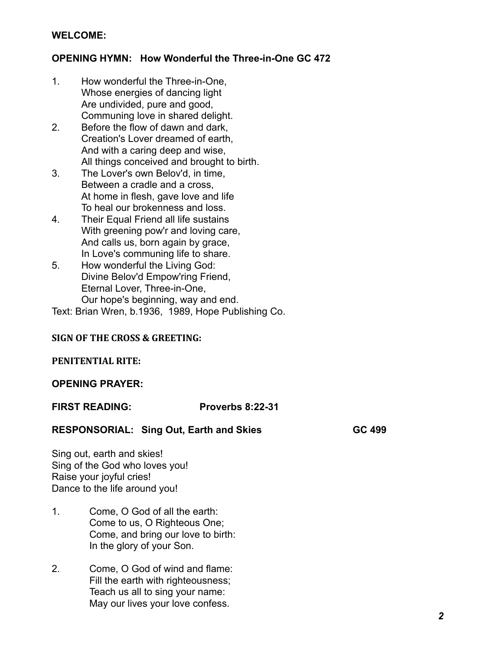### **WELCOME:**

### **OPENING HYMN: How Wonderful the Three-in-One GC 472**

- 1. How wonderful the Three-in-One, Whose energies of dancing light Are undivided, pure and good, Communing love in shared delight.
- 2. Before the flow of dawn and dark, Creation's Lover dreamed of earth, And with a caring deep and wise, All things conceived and brought to birth.
- 3. The Lover's own Belov'd, in time, Between a cradle and a cross, At home in flesh, gave love and life To heal our brokenness and loss.
- 4. Their Equal Friend all life sustains With greening pow'r and loving care, And calls us, born again by grace, In Love's communing life to share.
- 5. How wonderful the Living God: Divine Belov'd Empow'ring Friend, Eternal Lover, Three-in-One, Our hope's beginning, way and end.

Text: Brian Wren, b.1936, 1989, Hope Publishing Co.

### **SIGN OF THE CROSS & GREETING:**

#### **PENITENTIAL RITE:**

#### **OPENING PRAYER:**

**FIRST READING: Proverbs 8:22-31** 

#### RESPONSORIAL: Sing Out, Earth and Skies **GC 499**

Sing out, earth and skies! Sing of the God who loves you! Raise your joyful cries! Dance to the life around you!

- 1. Come, O God of all the earth: Come to us, O Righteous One; Come, and bring our love to birth: In the glory of your Son.
- 2. Come, O God of wind and flame: Fill the earth with righteousness; Teach us all to sing your name: May our lives your love confess.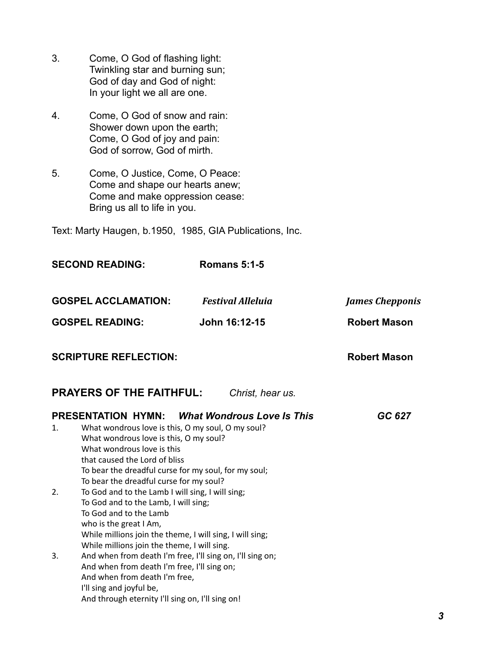- 3. Come, O God of flashing light: Twinkling star and burning sun; God of day and God of night: In your light we all are one.
- 4. Come, O God of snow and rain: Shower down upon the earth; Come, O God of joy and pain: God of sorrow, God of mirth.
- 5. Come, O Justice, Come, O Peace: Come and shape our hearts anew; Come and make oppression cease: Bring us all to life in you.

Text: Marty Haugen, b.1950, 1985, GIA Publications, Inc.

|                                                     | <b>SECOND READING:</b>                                                                                                                                                                                                                                        | <b>Romans 5:1-5</b>               |                        |  |
|-----------------------------------------------------|---------------------------------------------------------------------------------------------------------------------------------------------------------------------------------------------------------------------------------------------------------------|-----------------------------------|------------------------|--|
|                                                     | <b>GOSPEL ACCLAMATION:</b>                                                                                                                                                                                                                                    | <b>Festival Alleluia</b>          | <b>James Chepponis</b> |  |
|                                                     | <b>GOSPEL READING:</b>                                                                                                                                                                                                                                        | John 16:12-15                     | <b>Robert Mason</b>    |  |
|                                                     | <b>SCRIPTURE REFLECTION:</b>                                                                                                                                                                                                                                  |                                   | <b>Robert Mason</b>    |  |
| <b>PRAYERS OF THE FAITHFUL:</b><br>Christ, hear us. |                                                                                                                                                                                                                                                               |                                   |                        |  |
|                                                     | <b>PRESENTATION HYMN:</b>                                                                                                                                                                                                                                     | <b>What Wondrous Love Is This</b> | GC 627                 |  |
| 1.                                                  | What wondrous love is this, O my soul, O my soul?<br>What wondrous love is this, O my soul?<br>What wondrous love is this<br>that caused the Lord of bliss<br>To bear the dreadful curse for my soul, for my soul;<br>To bear the dreadful curse for my soul? |                                   |                        |  |
| 2.                                                  | To God and to the Lamb I will sing, I will sing;<br>To God and to the Lamb, I will sing;<br>To God and to the Lamb<br>who is the great I Am,<br>While millions join the theme, I will sing, I will sing;<br>While millions join the theme, I will sing.       |                                   |                        |  |
| 3.                                                  | And when from death I'm free, I'll sing on, I'll sing on;<br>And when from death I'm free, I'll sing on;<br>And when from death I'm free,<br>I'll sing and joyful be,<br>And through eternity I'll sing on, I'll sing on!                                     |                                   |                        |  |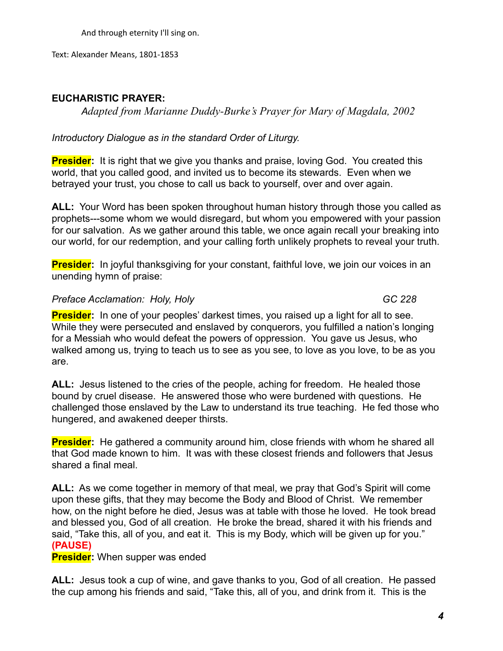And through eternity I'll sing on.

Text: Alexander Means, 1801-1853

# **EUCHARISTIC PRAYER:**

*Adapted from Marianne Duddy-Burke's Prayer for Mary of Magdala, 2002*

# *Introductory Dialogue as in the standard Order of Liturgy.*

**Presider:** It is right that we give you thanks and praise, loving God. You created this world, that you called good, and invited us to become its stewards. Even when we betrayed your trust, you chose to call us back to yourself, over and over again.

**ALL:** Your Word has been spoken throughout human history through those you called as prophets---some whom we would disregard, but whom you empowered with your passion for our salvation. As we gather around this table, we once again recall your breaking into our world, for our redemption, and your calling forth unlikely prophets to reveal your truth.

**Presider:** In joyful thanksgiving for your constant, faithful love, we join our voices in an unending hymn of praise:

# **Preface Acclamation: Holy, Holy GC 228**

**Presider:** In one of your peoples' darkest times, you raised up a light for all to see. While they were persecuted and enslaved by conquerors, you fulfilled a nation's longing for a Messiah who would defeat the powers of oppression. You gave us Jesus, who walked among us, trying to teach us to see as you see, to love as you love, to be as you are.

**ALL:** Jesus listened to the cries of the people, aching for freedom. He healed those bound by cruel disease. He answered those who were burdened with questions. He challenged those enslaved by the Law to understand its true teaching. He fed those who hungered, and awakened deeper thirsts.

**Presider:** He gathered a community around him, close friends with whom he shared all that God made known to him. It was with these closest friends and followers that Jesus shared a final meal.

**ALL:** As we come together in memory of that meal, we pray that God's Spirit will come upon these gifts, that they may become the Body and Blood of Christ. We remember how, on the night before he died, Jesus was at table with those he loved. He took bread and blessed you, God of all creation. He broke the bread, shared it with his friends and said, "Take this, all of you, and eat it. This is my Body, which will be given up for you." **(PAUSE)**

**Presider:** When supper was ended

**ALL:** Jesus took a cup of wine, and gave thanks to you, God of all creation. He passed the cup among his friends and said, "Take this, all of you, and drink from it. This is the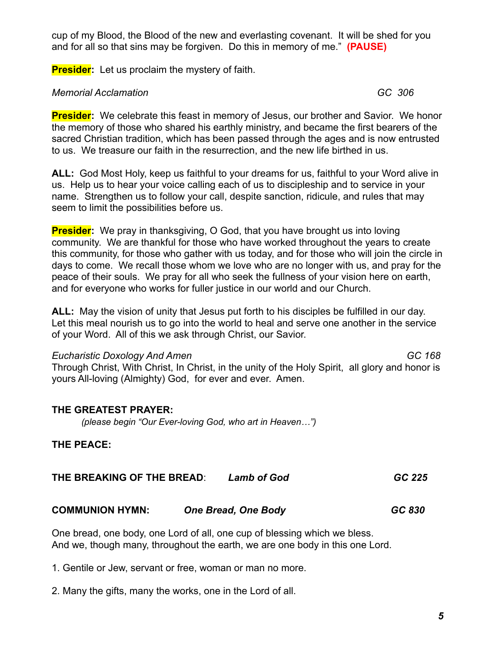cup of my Blood, the Blood of the new and everlasting covenant. It will be shed for you and for all so that sins may be forgiven. Do this in memory of me." **(PAUSE)**

**Presider:** Let us proclaim the mystery of faith.

### *Memorial Acclamation GC 306*

**Presider:** We celebrate this feast in memory of Jesus, our brother and Savior. We honor the memory of those who shared his earthly ministry, and became the first bearers of the sacred Christian tradition, which has been passed through the ages and is now entrusted to us. We treasure our faith in the resurrection, and the new life birthed in us.

**ALL:** God Most Holy, keep us faithful to your dreams for us, faithful to your Word alive in us. Help us to hear your voice calling each of us to discipleship and to service in your name. Strengthen us to follow your call, despite sanction, ridicule, and rules that may seem to limit the possibilities before us.

**Presider:** We pray in thanksgiving, O God, that you have brought us into loving community. We are thankful for those who have worked throughout the years to create this community, for those who gather with us today, and for those who will join the circle in days to come. We recall those whom we love who are no longer with us, and pray for the peace of their souls. We pray for all who seek the fullness of your vision here on earth, and for everyone who works for fuller justice in our world and our Church.

**ALL:** May the vision of unity that Jesus put forth to his disciples be fulfilled in our day. Let this meal nourish us to go into the world to heal and serve one another in the service of your Word. All of this we ask through Christ, our Savior.

#### *Eucharistic Doxology And Amen GC 168*

Through Christ, With Christ, In Christ, in the unity of the Holy Spirit, all glory and honor is yours All-loving (Almighty) God, for ever and ever. Amen.

### **THE GREATEST PRAYER:**

*(please begin "Our Ever-loving God, who art in Heaven…")*

**THE PEACE:**

| THE BREAKING OF THE BREAD:<br><b>Lamb of God</b> | GC 225 |
|--------------------------------------------------|--------|
|--------------------------------------------------|--------|

# **COMMUNION HYMN:** *One Bread, One Body GC 830*

One bread, one body, one Lord of all, one cup of blessing which we bless. And we, though many, throughout the earth, we are one body in this one Lord.

1. Gentile or Jew, servant or free, woman or man no more.

2. Many the gifts, many the works, one in the Lord of all.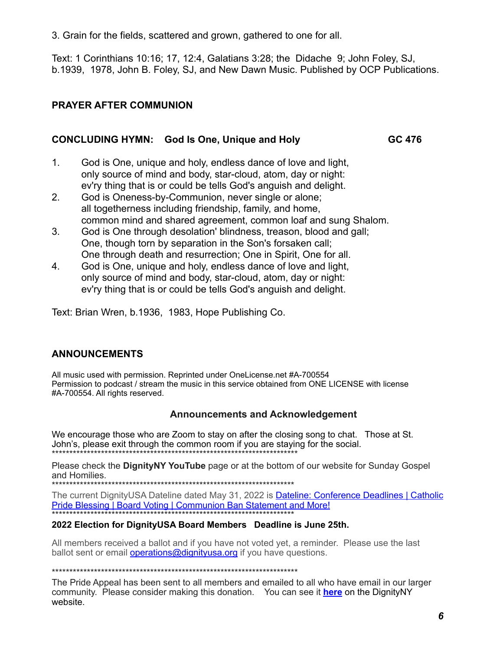3. Grain for the fields, scattered and grown, gathered to one for all.

Text: 1 Corinthians 10:16; 17, 12:4, Galatians 3:28; the Didache 9; John Foley, SJ, b.1939, 1978, John B. Foley, SJ, and New Dawn Music. Published by OCP Publications.

# **PRAYER AFTER COMMUNION**

#### **CONCLUDING HYMN:** God Is One, Unique and Holy GC 476

- $1<sub>1</sub>$ God is One, unique and holy, endless dance of love and light, only source of mind and body, star-cloud, atom, day or night: ey'ry thing that is or could be tells God's anguish and delight.
- $\mathcal{P}$ God is Oneness-by-Communion, never single or alone; all togetherness including friendship, family, and home, common mind and shared agreement, common loaf and sung Shalom.
- 3. God is One through desolation' blindness, treason, blood and gall; One, though torn by separation in the Son's forsaken call; One through death and resurrection; One in Spirit, One for all.
- $\overline{4}$ . God is One, unique and holy, endless dance of love and light, only source of mind and body, star-cloud, atom, day or night: ev'ry thing that is or could be tells God's anguish and delight.

Text: Brian Wren, b.1936, 1983, Hope Publishing Co.

### **ANNOUNCEMENTS**

All music used with permission. Reprinted under OneLicense.net #A-700554 Permission to podcast / stream the music in this service obtained from ONE LICENSE with license #A-700554. All rights reserved.

### **Announcements and Acknowledgement**

We encourage those who are Zoom to stay on after the closing song to chat. Those at St. John's, please exit through the common room if you are staying for the social.

Please check the DignityNY YouTube page or at the bottom of our website for Sunday Gospel and Homilies.

The current DignityUSA Dateline dated May 31, 2022 is Dateline: Conference Deadlines | Catholic Pride Blessing | Board Voting | Communion Ban Statement and More!

#### 2022 Election for DignityUSA Board Members Deadline is June 25th.

All members received a ballot and if you have not voted yet, a reminder. Please use the last ballot sent or email **operations@dignityusa.org** if you have questions.

The Pride Appeal has been sent to all members and emailed to all who have email in our larger community. Please consider making this donation. You can see it here on the DignityNY website.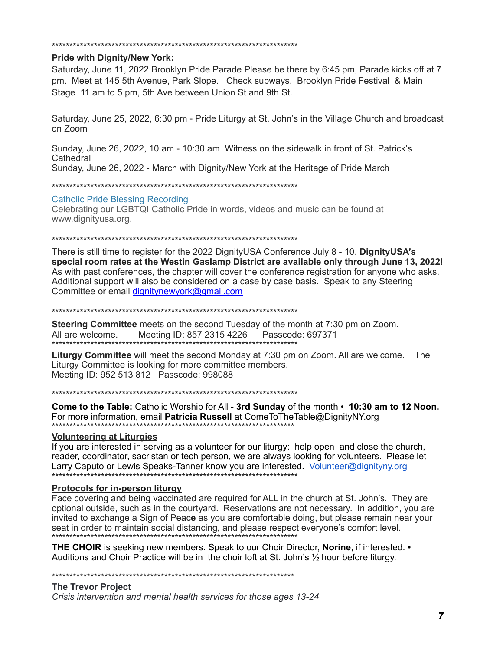#### 

#### **Pride with Dignity/New York:**

Saturday, June 11, 2022 Brooklyn Pride Parade Please be there by 6:45 pm, Parade kicks off at 7 pm. Meet at 145 5th Avenue, Park Slope. Check subways. Brooklyn Pride Festival & Main Stage 11 am to 5 pm, 5th Ave between Union St and 9th St.

Saturday, June 25, 2022, 6:30 pm - Pride Liturgy at St. John's in the Village Church and broadcast on Zoom

Sunday, June 26, 2022, 10 am - 10:30 am Witness on the sidewalk in front of St. Patrick's Cathedral

Sunday, June 26, 2022 - March with Dignity/New York at the Heritage of Pride March

#### **Catholic Pride Blessing Recording**

Celebrating our LGBTQI Catholic Pride in words, videos and music can be found at www.dianityusa.org.

There is still time to register for the 2022 Dignity USA Conference July  $8 - 10$ . Dignity USA's special room rates at the Westin Gaslamp District are available only through June 13, 2022! As with past conferences, the chapter will cover the conference registration for anyone who asks. Additional support will also be considered on a case by case basis. Speak to any Steering Committee or email dignitynewyork@gmail.com

#### 

**Steering Committee** meets on the second Tuesday of the month at 7:30 pm on Zoom. All are welcome. Meeting ID: 857 2315 4226 Passcode: 697371 

Liturgy Committee will meet the second Monday at 7:30 pm on Zoom. All are welcome. The Liturgy Committee is looking for more committee members. Meeting ID: 952 513 812 Passcode: 998088

Come to the Table: Catholic Worship for All - 3rd Sunday of the month • 10:30 am to 12 Noon. For more information, email Patricia Russell at ComeToTheTable@DignityNY.org 

#### **Volunteering at Liturgies**

If you are interested in serving as a volunteer for our liturgy: help open and close the church, reader, coordinator, sacristan or tech person, we are always looking for volunteers. Please let Larry Caputo or Lewis Speaks-Tanner know you are interested. Volunteer@dignityny.org 

#### **Protocols for in-person liturgy**

Face covering and being vaccinated are required for ALL in the church at St. John's. They are optional outside, such as in the courtyard. Reservations are not necessary. In addition, you are invited to exchange a Sign of Peace as you are comfortable doing, but please remain near your seat in order to maintain social distancing, and please respect everyone's comfort level.

THE CHOIR is seeking new members. Speak to our Choir Director, Norine, if interested. • Auditions and Choir Practice will be in the choir loft at St. John's 1/2 hour before liturgy.

#### **The Trevor Project**

Crisis intervention and mental health services for those ages 13-24